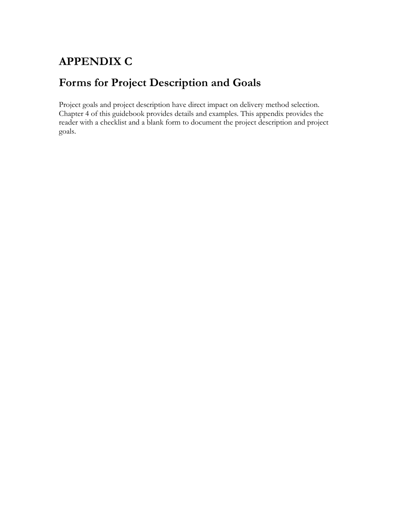## **APPENDIX C**

## **Forms for Project Description and Goals**

Project goals and project description have direct impact on delivery method selection. Chapter 4 of this guidebook provides details and examples. This appendix provides the reader with a checklist and a blank form to document the project description and project goals.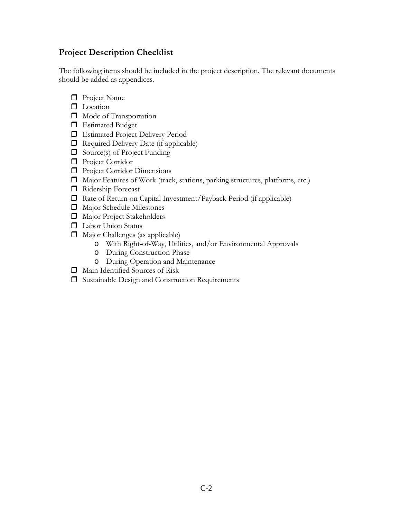## **Project Description Checklist**

The following items should be included in the project description. The relevant documents should be added as appendices.

- **Project Name**
- **D** Location
- $\Box$  Mode of Transportation
- **E**stimated Budget
- **Estimated Project Delivery Period**
- $\Box$  Required Delivery Date (if applicable)
- $\Box$  Source(s) of Project Funding
- **Project Corridor**
- **Project Corridor Dimensions**
- Major Features of Work (track, stations, parking structures, platforms, etc.)
- Ridership Forecast
- $\Box$  Rate of Return on Capital Investment/Payback Period (if applicable)
- Major Schedule Milestones
- **Major Project Stakeholders**
- **Labor Union Status**
- Major Challenges (as applicable)
	- o With Right-of-Way, Utilities, and/or Environmental Approvals
	- o During Construction Phase
	- o During Operation and Maintenance
- $\Box$  Main Identified Sources of Risk
- $\square$  Sustainable Design and Construction Requirements